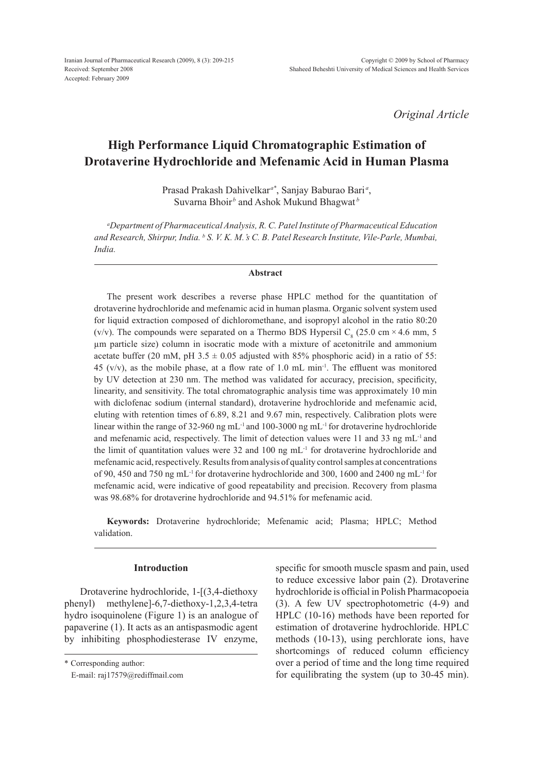*Original Article*

# **High Performance Liquid Chromatographic Estimation of Drotaverine Hydrochloride and Mefenamic Acid in Human Plasma**

Prasad Prakash Dahivelkar*a\**, Sanjay Baburao Bari *<sup>a</sup>* , Suvarna Bhoir<sup>b</sup> and Ashok Mukund Bhagwat<sup>*b*</sup>

*a Department of Pharmaceutical Analysis, R. C. Patel Institute of Pharmaceutical Education and Research, Shirpur, India. b S. V. K. M.'s C. B. Patel Research Institute, Vile-Parle, Mumbai, India.* 

#### **Abstract**

The present work describes a reverse phase HPLC method for the quantitation of drotaverine hydrochloride and mefenamic acid in human plasma. Organic solvent system used for liquid extraction composed of dichloromethane, and isopropyl alcohol in the ratio 80:20 (v/v). The compounds were separated on a Thermo BDS Hypersil  $C_8$  (25.0 cm × 4.6 mm, 5 µm particle size) column in isocratic mode with a mixture of acetonitrile and ammonium acetate buffer (20 mM, pH 3.5  $\pm$  0.05 adjusted with 85% phosphoric acid) in a ratio of 55: 45 (v/v), as the mobile phase, at a flow rate of 1.0 mL min<sup>-1</sup>. The effluent was monitored by UV detection at 230 nm. The method was validated for accuracy, precision, specificity, linearity, and sensitivity. The total chromatographic analysis time was approximately 10 min with diclofenac sodium (internal standard), drotaverine hydrochloride and mefenamic acid, eluting with retention times of 6.89, 8.21 and 9.67 min, respectively. Calibration plots were linear within the range of 32-960 ng mL<sup>-1</sup> and 100-3000 ng mL<sup>-1</sup> for drotaverine hydrochloride and mefenamic acid, respectively. The limit of detection values were 11 and 33 ng  $mL^{-1}$  and the limit of quantitation values were  $32$  and  $100 \text{ ng } \text{mL}^{-1}$  for drotaverine hydrochloride and mefenamic acid, respectively. Results from analysis of quality control samples at concentrations of 90, 450 and 750 ng mL-1 for drotaverine hydrochloride and 300, 1600 and 2400 ng mL-1 for mefenamic acid, were indicative of good repeatability and precision. Recovery from plasma was 98.68% for drotaverine hydrochloride and 94.51% for mefenamic acid.

**Keywords:** Drotaverine hydrochloride; Mefenamic acid; Plasma; HPLC; Method validation.

# **Introduction**

 Drotaverine hydrochloride, 1-[(3,4-diethoxy phenyl) methylene]-6,7-diethoxy-1,2,3,4-tetra hydro isoquinolene (Figure 1) is an analogue of papaverine (1). It acts as an antispasmodic agent by inhibiting phosphodiesterase IV enzyme, specific for smooth muscle spasm and pain, used to reduce excessive labor pain (2). Drotaverine hydrochloride is official in Polish Pharmacopoeia (3). A few UV spectrophotometric (4-9) and HPLC (10-16) methods have been reported for estimation of drotaverine hydrochloride. HPLC methods (10-13), using perchlorate ions, have shortcomings of reduced column efficiency over a period of time and the long time required for equilibrating the system (up to 30-45 min).

<sup>\*</sup> Corresponding author:

E-mail: raj17579@rediffmail.com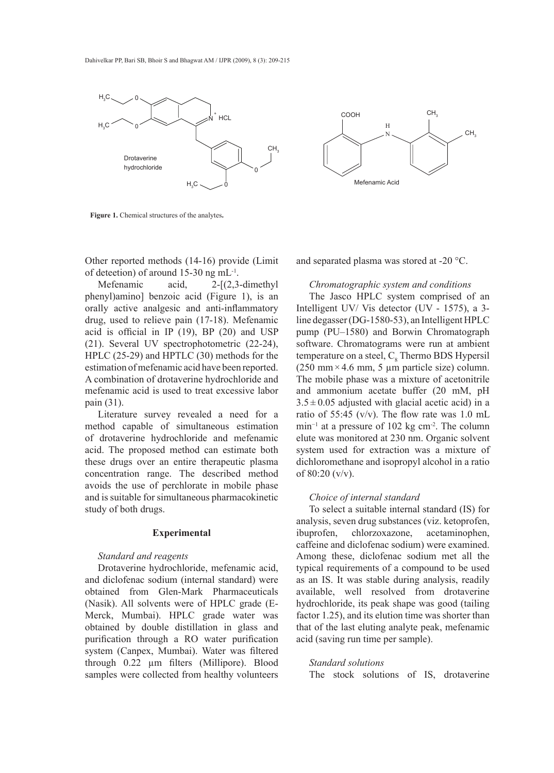



**Figure 1.** Chemical structures of the analytes**.**

Other reported methods (14-16) provide (Limit of deteetion) of around 15-30 ng mL-1.

Mefenamic acid, 2-[(2,3-dimethyl phenyl)amino] benzoic acid (Figure 1), is an orally active analgesic and anti-inflammatory drug, used to relieve pain (17-18). Mefenamic acid is official in IP (19), BP (20) and USP (21). Several UV spectrophotometric (22-24), HPLC (25-29) and HPTLC (30) methods for the estimation of mefenamic acid have been reported. A combination of drotaverine hydrochloride and mefenamic acid is used to treat excessive labor pain (31).

Literature survey revealed a need for a method capable of simultaneous estimation of drotaverine hydrochloride and mefenamic acid. The proposed method can estimate both these drugs over an entire therapeutic plasma concentration range. The described method avoids the use of perchlorate in mobile phase and is suitable for simultaneous pharmacokinetic study of both drugs.

### **Experimental**

# *Standard and reagents*

Drotaverine hydrochloride, mefenamic acid, and diclofenac sodium (internal standard) were obtained from Glen-Mark Pharmaceuticals (Nasik). All solvents were of HPLC grade (E-Merck, Mumbai). HPLC grade water was obtained by double distillation in glass and purification through a RO water purification system (Canpex, Mumbai). Water was filtered through 0.22 µm filters (Millipore). Blood samples were collected from healthy volunteers

and separated plasma was stored at -20 °C.

#### *Chromatographic system and conditions*

The Jasco HPLC system comprised of an Intelligent UV/ Vis detector (UV - 1575), a 3 line degasser (DG-1580-53), an Intelligent HPLC pump (PU–1580) and Borwin Chromatograph software. Chromatograms were run at ambient temperature on a steel,  $C_8$  Thermo BDS Hypersil (250 mm  $\times$  4.6 mm, 5 µm particle size) column. The mobile phase was a mixture of acetonitrile and ammonium acetate buffer (20 mM, pH  $3.5 \pm 0.05$  adjusted with glacial acetic acid) in a ratio of 55:45 (v/v). The flow rate was 1.0 mL min−1 at a pressure of 102 kg cm-2. The column elute was monitored at 230 nm. Organic solvent system used for extraction was a mixture of dichloromethane and isopropyl alcohol in a ratio of  $80:20 \frac{\text{v}}{\text{v}}$ .

### *Choice of internal standard*

To select a suitable internal standard (IS) for analysis, seven drug substances (viz. ketoprofen, ibuprofen, chlorzoxazone, acetaminophen, caffeine and diclofenac sodium) were examined. Among these, diclofenac sodium met all the typical requirements of a compound to be used as an IS. It was stable during analysis, readily available, well resolved from drotaverine hydrochloride, its peak shape was good (tailing factor 1.25), and its elution time was shorter than that of the last eluting analyte peak, mefenamic acid (saving run time per sample).

*Standard solutions* The stock solutions of IS, drotaverine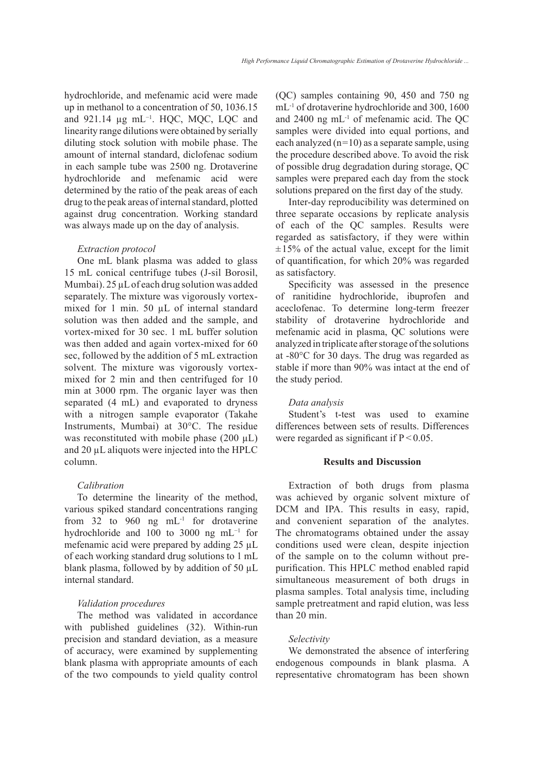hydrochloride, and mefenamic acid were made up in methanol to a concentration of 50, 1036.15 and 921.14 μg mL<sup>-1</sup>. HQC, MQC, LQC and linearity range dilutions were obtained by serially diluting stock solution with mobile phase. The amount of internal standard, diclofenac sodium in each sample tube was 2500 ng. Drotaverine hydrochloride and mefenamic acid were determined by the ratio of the peak areas of each drug to the peak areas of internal standard, plotted against drug concentration. Working standard was always made up on the day of analysis.

### *Extraction protocol*

One mL blank plasma was added to glass 15 mL conical centrifuge tubes (J-sil Borosil, Mumbai). 25 µL of each drug solution was added separately. The mixture was vigorously vortexmixed for 1 min. 50  $\mu$ L of internal standard solution was then added and the sample, and vortex-mixed for 30 sec. 1 mL buffer solution was then added and again vortex-mixed for 60 sec, followed by the addition of 5 mL extraction solvent. The mixture was vigorously vortexmixed for 2 min and then centrifuged for 10 min at 3000 rpm. The organic layer was then separated (4 mL) and evaporated to dryness with a nitrogen sample evaporator (Takahe Instruments, Mumbai) at 30°C. The residue was reconstituted with mobile phase  $(200 \mu L)$ and 20 µL aliquots were injected into the HPLC column.

# *Calibration*

To determine the linearity of the method, various spiked standard concentrations ranging from 32 to 960 ng  $mL^{-1}$  for drotaverine hydrochloride and 100 to 3000 ng mL<sup>-1</sup> for mefenamic acid were prepared by adding 25 µL of each working standard drug solutions to 1 mL blank plasma, followed by by addition of 50 µL internal standard.

### *Validation procedures*

The method was validated in accordance with published guidelines (32). Within-run precision and standard deviation, as a measure of accuracy, were examined by supplementing blank plasma with appropriate amounts of each of the two compounds to yield quality control (QC) samples containing 90, 450 and 750 ng mL-1 of drotaverine hydrochloride and 300, 1600 and 2400 ng mL-1 of mefenamic acid. The QC samples were divided into equal portions, and each analyzed  $(n=10)$  as a separate sample, using the procedure described above. To avoid the risk of possible drug degradation during storage, QC samples were prepared each day from the stock solutions prepared on the first day of the study.

Inter-day reproducibility was determined on three separate occasions by replicate analysis of each of the QC samples. Results were regarded as satisfactory, if they were within  $\pm 15\%$  of the actual value, except for the limit of quantification, for which 20% was regarded as satisfactory.

Specificity was assessed in the presence of ranitidine hydrochloride, ibuprofen and aceclofenac. To determine long-term freezer stability of drotaverine hydrochloride and mefenamic acid in plasma, QC solutions were analyzed in triplicate after storage of the solutions at -80°C for 30 days. The drug was regarded as stable if more than 90% was intact at the end of the study period.

### *Data analysis*

Student's t-test was used to examine differences between sets of results. Differences were regarded as significant if  $P < 0.05$ .

# **Results and Discussion**

Extraction of both drugs from plasma was achieved by organic solvent mixture of DCM and IPA. This results in easy, rapid, and convenient separation of the analytes. The chromatograms obtained under the assay conditions used were clean, despite injection of the sample on to the column without prepurification. This HPLC method enabled rapid simultaneous measurement of both drugs in plasma samples. Total analysis time, including sample pretreatment and rapid elution, was less than 20 min.

### *Selectivity*

We demonstrated the absence of interfering endogenous compounds in blank plasma. A representative chromatogram has been shown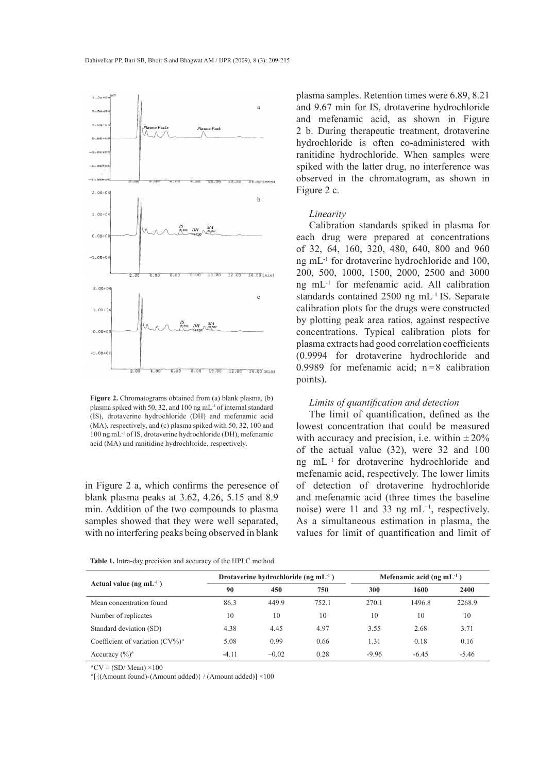

Figure 2. Chromatograms obtained from (a) blank plasma, (b) plasma spiked with 50, 32, and 100 ng mL-1 of internal standard (IS), drotaverine hydrochloride (DH) and mefenamic acid (MA), respectively, and (c) plasma spiked with 50, 32, 100 and 100 ng mL-1 of IS, drotaverine hydrochloride (DH), mefenamic acid (MA) and ranitidine hydrochloride, respectively.

in Figure 2 a, which confirms the peresence of blank plasma peaks at 3.62, 4.26, 5.15 and 8.9 min. Addition of the two compounds to plasma samples showed that they were well separated, with no interfering peaks being observed in blank

plasma samples. Retention times were 6.89, 8.21 and 9.67 min for IS, drotaverine hydrochloride and mefenamic acid, as shown in Figure 2 b. During therapeutic treatment, drotaverine hydrochloride is often co-administered with ranitidine hydrochloride. When samples were spiked with the latter drug, no interference was observed in the chromatogram, as shown in Figure 2 c.

#### *Linearity*

Calibration standards spiked in plasma for each drug were prepared at concentrations of 32, 64, 160, 320, 480, 640, 800 and 960 ng mL-1 for drotaverine hydrochloride and 100, 200, 500, 1000, 1500, 2000, 2500 and 3000 ng mL-1 for mefenamic acid. All calibration standards contained 2500 ng mL-1 IS. Separate calibration plots for the drugs were constructed by plotting peak area ratios, against respective concentrations. Typical calibration plots for plasma extracts had good correlation coefficients (0.9994 for drotaverine hydrochloride and 0.9989 for mefenamic acid;  $n=8$  calibration points).

# *Limits of quantification and detection*

The limit of quantification, defined as the lowest concentration that could be measured with accuracy and precision, i.e. within  $\pm 20\%$ of the actual value (32), were 32 and 100 ng mL−1 for drotaverine hydrochloride and mefenamic acid, respectively. The lower limits of detection of drotaverine hydrochloride and mefenamic acid (three times the baseline noise) were 11 and 33 ng mL<sup>-1</sup>, respectively. As a simultaneous estimation in plasma, the values for limit of quantification and limit of

| Actual value ( $ng \, mL^{-1}$ )    | Drotaverine hydrochloride (ng m $L-1$ ) |         |       | Mefenamic acid (ng $mL^{-1}$ ) |         |         |
|-------------------------------------|-----------------------------------------|---------|-------|--------------------------------|---------|---------|
|                                     | 90                                      | 450     | 750   | 300                            | 1600    | 2400    |
| Mean concentration found            | 86.3                                    | 449.9   | 752.1 | 270.1                          | 1496.8  | 2268.9  |
| Number of replicates                | 10                                      | 10      | 10    | 10                             | 10      | 10      |
| Standard deviation (SD)             | 4.38                                    | 4.45    | 4.97  | 3.55                           | 2.68    | 3.71    |
| Coefficient of variation $(CV\%)^a$ | 5.08                                    | 0.99    | 0.66  | 1.31                           | 0.18    | 0.16    |
| Accuracy $(\frac{6}{6})^b$          | $-4.11$                                 | $-0.02$ | 0.28  | $-9.96$                        | $-6.45$ | $-5.46$ |

**Table 1.** Intra-day precision and accuracy of the HPLC method.

 $^{a}CV = (SD/Mean) \times 100$ 

*<sup>b</sup>* [{(Amount found)-(Amount added)} / (Amount added)] ×100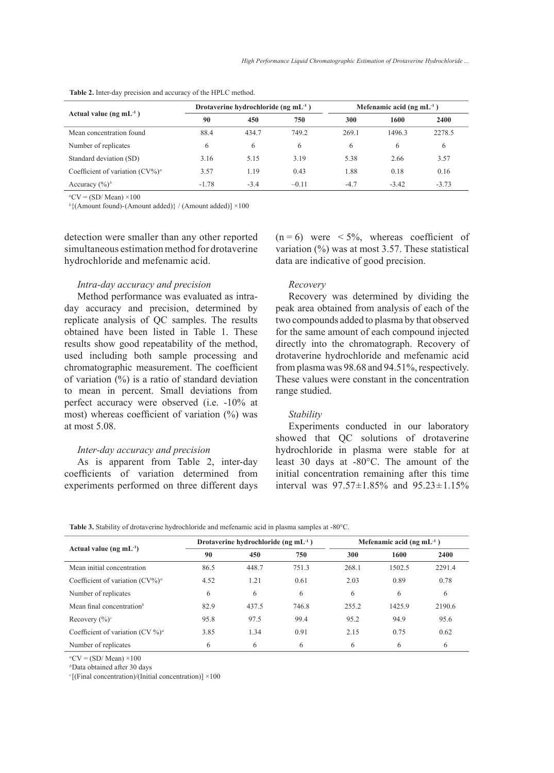| Actual value ( $ng \, mL^{-1}$ )    | Drotaverine hydrochloride (ng $mL^{-1}$ ) |        |         | Mefenamic acid (ng m $L-1$ ) |         |         |  |
|-------------------------------------|-------------------------------------------|--------|---------|------------------------------|---------|---------|--|
|                                     | 90                                        | 450    | 750     | 300                          | 1600    | 2400    |  |
| Mean concentration found            | 88.4                                      | 434.7  | 749.2   | 269.1                        | 1496.3  | 2278.5  |  |
| Number of replicates                | 6                                         | 6      | 6       | 6                            | 6       | 6       |  |
| Standard deviation (SD)             | 3.16                                      | 5.15   | 3.19    | 5.38                         | 2.66    | 3.57    |  |
| Coefficient of variation $(CV\%)^a$ | 3.57                                      | 1.19   | 0.43    | 1.88                         | 0.18    | 0.16    |  |
| Accuracy $(\frac{6}{6})^b$          | $-1.78$                                   | $-3.4$ | $-0.11$ | $-4.7$                       | $-3.42$ | $-3.73$ |  |

**Table 2.** Inter-day precision and accuracy of the HPLC method.

 $^aCV = (SD/Mean) \times 100$ 

*b* {(Amount found)-(Amount added)} / (Amount added)] ×100

detection were smaller than any other reported simultaneous estimation method for drotaverine hydrochloride and mefenamic acid.

### *Intra-day accuracy and precision*

Method performance was evaluated as intraday accuracy and precision, determined by replicate analysis of QC samples. The results obtained have been listed in Table 1. These results show good repeatability of the method, used including both sample processing and chromatographic measurement. The coefficient of variation (%) is a ratio of standard deviation to mean in percent. Small deviations from perfect accuracy were observed (i.e. -10% at most) whereas coefficient of variation (%) was at most 5.08.

### *Inter-day accuracy and precision*

As is apparent from Table 2, inter-day coefficients of variation determined from experiments performed on three different days  $(n = 6)$  were  $\lt 5\%$ , whereas coefficient of variation  $\left(\frac{0}{0}\right)$  was at most 3.57. These statistical data are indicative of good precision.

### *Recovery*

Recovery was determined by dividing the peak area obtained from analysis of each of the two compounds added to plasma by that observed for the same amount of each compound injected directly into the chromatograph. Recovery of drotaverine hydrochloride and mefenamic acid from plasma was 98.68 and 94.51%, respectively. These values were constant in the concentration range studied.

#### *Stability*

Experiments conducted in our laboratory showed that QC solutions of drotaverine hydrochloride in plasma were stable for at least 30 days at -80°C. The amount of the initial concentration remaining after this time interval was 97.57±1.85% and 95.23±1.15%

**Table 3.** Stability of drotaverine hydrochloride and mefenamic acid in plasma samples at -80°C.

| Actual value ( $ng \, mL^{-1}$ )      | Drotaverine hydrochloride (ng $mL^{-1}$ ) |       |       | Mefenamic acid (ng m $L^{-1}$ ) |        |        |
|---------------------------------------|-------------------------------------------|-------|-------|---------------------------------|--------|--------|
|                                       | 90                                        | 450   | 750   | 300                             | 1600   | 2400   |
| Mean initial concentration            | 86.5                                      | 448.7 | 751.3 | 268.1                           | 1502.5 | 2291.4 |
| Coefficient of variation $(CV\%)^a$   | 4.52                                      | 1.21  | 0.61  | 2.03                            | 0.89   | 0.78   |
| Number of replicates                  | 6                                         | 6     | 6     | 6                               | 6      | 6      |
| Mean final concentration <sup>b</sup> | 82.9                                      | 437.5 | 746.8 | 255.2                           | 1425.9 | 2190.6 |
| Recovery $(\%)^c$                     | 95.8                                      | 97.5  | 99.4  | 95.2                            | 94.9   | 95.6   |
| Coefficient of variation $(CV\%)^a$   | 3.85                                      | 1.34  | 0.91  | 2.15                            | 0.75   | 0.62   |
| Number of replicates                  | 6                                         | 6     | 6     | 6                               | 6      | 6      |

 $^a$ CV = (SD/ Mean)  $\times$ 100

*b*Data obtained after 30 days

*<sup>c</sup>* [(Final concentration)/(Initial concentration)] ×100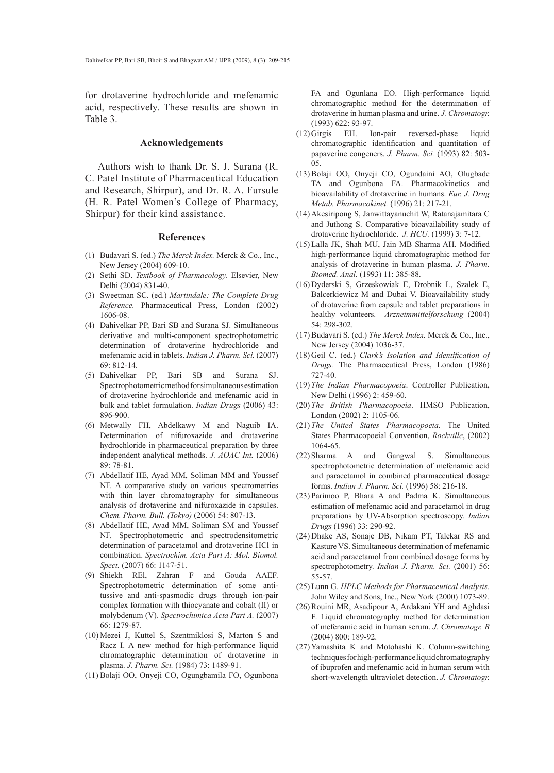for drotaverine hydrochloride and mefenamic acid, respectively. These results are shown in Table 3.

#### **Acknowledgements**

Authors wish to thank Dr. S. J. Surana (R. C. Patel Institute of Pharmaceutical Education and Research, Shirpur), and Dr. R. A. Fursule (H. R. Patel Women's College of Pharmacy, Shirpur) for their kind assistance.

### **References**

- Budavari S. (ed.) *The Merck Index.* Merck & Co., Inc., (1) New Jersey (2004) 609-10.
- (2) Sethi SD. *Textbook of Pharmacology*. Elsevier, New Delhi (2004) 831-40.
- (3) Sweetman SC. (ed.) *Martindale: The Complete Drug Reference.* Pharmaceutical Press, London (2002) 1606-08.
- Dahivelkar PP, Bari SB and Surana SJ. Simultaneous (4) derivative and multi-component spectrophotometric determination of drotaverine hydrochloride and mefenamic acid in tablets. *Indian J. Pharm. Sci.* (2007) 69: 812-14.
- Bari SB and Surana SJ. Spectrophotometric method for simultaneous estimation of drotaverine hydrochloride and mefenamic acid in bulk and tablet formulation. *Indian Drugs* (2006) 43: 896-900. (5) Dahivelkar PP,
- (6) Metwally FH, Abdelkawy M and Naguib IA. Determination of nifuroxazide and drotaverine hydrochloride in pharmaceutical preparation by three independent analytical methods. *J. AOAC Int.* (2006) 89: 78-81.
- Abdellatif HE, Ayad MM, Soliman MM and Youssef (7) NF. A comparative study on various spectrometries with thin layer chromatography for simultaneous analysis of drotaverine and nifuroxazide in capsules. *Chem. Pharm. Bull. (Tokyo)* (2006) 54: 807-13.
- Abdellatif HE, Ayad MM, Soliman SM and Youssef (8) NF. Spectrophotometric and spectrodensitometric determination of paracetamol and drotaverine HCl in combination. *Spectrochim. Acta Part A: Mol. Biomol. Spect.* (2007) 66: 1147-51.
- (9) Shiekh REl, Zahran F and Gouda AAEF. Spectrophotometric determination of some antitussive and anti-spasmodic drugs through ion-pair complex formation with thiocyanate and cobalt (II) or molybdenum (V). *Spectrochimica Acta Part A.* (2007) 66: 1279-87.
- (10) Mezei J, Kuttel S, Szentmiklosi S, Marton S and Racz I. A new method for high-performance liquid chromatographic determination of drotaverine in plasma. *J. Pharm. Sci.* (1984) 73: 1489-91.
- Bolaji OO, Onyeji CO, Ogungbamila FO, Ogunbona (11)

FA and Ogunlana EO. High-performance liquid chromatographic method for the determination of drotaverine in human plasma and urine. *J. Chromatogr.* (1993) 622: 93-97.

- Ion-pair reversed-phase liquid chromatographic identification and quantitation of papaverine congeners. *J. Pharm. Sci.* (1993) 82: 503- 05.  $(12)$  Girgis EH.
- Bolaji OO, Onyeji CO, Ogundaini AO, Olugbade (13) TA and Ogunbona FA. Pharmacokinetics and bioavailability of drotaverine in humans. *Eur. J. Drug Metab. Pharmacokinet.* (1996) 21: 217-21.
- Akesiripong S, Janwittayanuchit W, Ratanajamitara C (14) and Juthong S. Comparative bioavailability study of drotaverine hydrochloride. *J. HCU.* (1999) 3: 7-12.
- Lalla JK, Shah MU, Jain MB Sharma AH. Modified (15) high-performance liquid chromatographic method for analysis of drotaverine in human plasma. *J. Pharm. Biomed. Anal.* (1993) 11: 385-88.
- (16) Dyderski S, Grzeskowiak E, Drobnik L, Szalek E, Balcerkiewicz M and Dubai V. Bioavailability study of drotaverine from capsule and tablet preparations in healthy volunteers. *Arzneimmittelforschung* (2004) 54: 298-302.
- Budavari S. (ed.) *The Merck Index.* Merck & Co., Inc., (17) New Jersey (2004) 1036-37.
- (18) Geil C. (ed.) Clark's Isolation and Identification of *Drugs.* The Pharmaceutical Press, London (1986) 727-40.
- *The Indian Pharmacopoeia*. Controller Publication, (19) New Delhi (1996) 2: 459-60.
- *The British Pharmacopoeia*. HMSO Publication, (20) London (2002) 2: 1105-06.
- *The United States Pharmacopoeia.* The United (21) States Pharmacopoeial Convention, *Rockville*, (2002) 1064-65.
- (22) Sharma A and Gangwal S. Simultaneous spectrophotometric determination of mefenamic acid and paracetamol in combined pharmaceutical dosage forms. *Indian J. Pharm. Sci.* (1996) 58: 216-18.
- Parimoo P, Bhara A and Padma K. Simultaneous (23) estimation of mefenamic acid and paracetamol in drug preparations by UV-Absorption spectroscopy. *Indian Drugs* (1996) 33: 290-92.
- (24) Dhake AS, Sonaje DB, Nikam PT, Talekar RS and Kasture VS. Simultaneous determination of mefenamic acid and paracetamol from combined dosage forms by spectrophotometry. *Indian J. Pharm. Sci.* (2001) 56: 55-57.
- Lunn G. *HPLC Methods for Pharmaceutical Analysis.* (25) John Wiley and Sons, Inc., New York (2000) 1073-89.
- (26) Rouini MR, Asadipour A, Ardakani YH and Aghdasi F. Liquid chromatography method for determination of mefenamic acid in human serum. *J. Chromatogr. B*  (2004) 800: 189-92.
- (27) Yamashita K and Motohashi K. Column-switching techniques for high-performance liquid chromatography of ibuprofen and mefenamic acid in human serum with short-wavelength ultraviolet detection. *J. Chromatogr.*